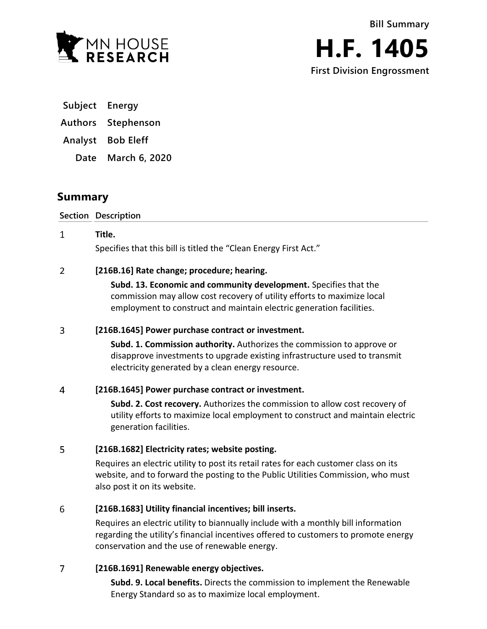

**First Division Engrossment**

**Subject Energy**

**Authors Stephenson**

**Analyst Bob Eleff**

**Date March 6, 2020**

# **Summary**

**Section Description**

### $\mathbf{1}$ **Title.**

Specifies that this bill is titled the "Clean Energy First Act."

### $\overline{2}$ **[216B.16] Rate change; procedure; hearing.**

**Subd. 13. Economic and community development.** Specifies that the commission may allow cost recovery of utility efforts to maximize local employment to construct and maintain electric generation facilities.

### $\overline{3}$ **[216B.1645] Power purchase contract or investment.**

**Subd. 1. Commission authority.** Authorizes the commission to approve or disapprove investments to upgrade existing infrastructure used to transmit electricity generated by a clean energy resource.

### $\overline{4}$ **[216B.1645] Power purchase contract or investment.**

**Subd. 2. Cost recovery.** Authorizes the commission to allow cost recovery of utility efforts to maximize local employment to construct and maintain electric generation facilities.

### 5 **[216B.1682] Electricity rates; website posting.**

Requires an electric utility to post its retail rates for each customer class on its website, and to forward the posting to the Public Utilities Commission, who must also post it on its website.

### 6 **[216B.1683] Utility financial incentives; bill inserts.**

Requires an electric utility to biannually include with a monthly bill information regarding the utility's financial incentives offered to customers to promote energy conservation and the use of renewable energy.

### $\overline{7}$ **[216B.1691] Renewable energy objectives.**

**Subd. 9. Local benefits.** Directs the commission to implement the Renewable Energy Standard so as to maximize local employment.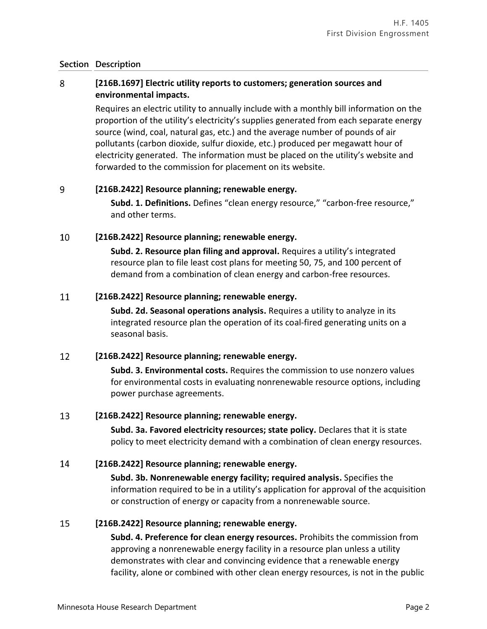### **Section Description**

### 8 **[216B.1697] Electric utility reports to customers; generation sources and environmental impacts.**

Requires an electric utility to annually include with a monthly bill information on the proportion of the utility's electricity's supplies generated from each separate energy source (wind, coal, natural gas, etc.) and the average number of pounds of air pollutants (carbon dioxide, sulfur dioxide, etc.) produced per megawatt hour of electricity generated. The information must be placed on the utility's website and forwarded to the commission for placement on its website.

### 9 **[216B.2422] Resource planning; renewable energy.**

**Subd. 1. Definitions.** Defines "clean energy resource," "carbon-free resource," and other terms.

### 10 **[216B.2422] Resource planning; renewable energy.**

**Subd. 2. Resource plan filing and approval.** Requires a utility's integrated resource plan to file least cost plans for meeting 50, 75, and 100 percent of demand from a combination of clean energy and carbon-free resources.

### 11 **[216B.2422] Resource planning; renewable energy.**

**Subd. 2d. Seasonal operations analysis.** Requires a utility to analyze in its integrated resource plan the operation of its coal-fired generating units on a seasonal basis.

### 12 **[216B.2422] Resource planning; renewable energy.**

**Subd. 3. Environmental costs.** Requires the commission to use nonzero values for environmental costs in evaluating nonrenewable resource options, including power purchase agreements.

#### 13 **[216B.2422] Resource planning; renewable energy.**

**Subd. 3a. Favored electricity resources; state policy.** Declares that it is state policy to meet electricity demand with a combination of clean energy resources.

### 14 **[216B.2422] Resource planning; renewable energy.**

**Subd. 3b. Nonrenewable energy facility; required analysis.** Specifies the information required to be in a utility's application for approval of the acquisition or construction of energy or capacity from a nonrenewable source.

### 15 **[216B.2422] Resource planning; renewable energy.**

**Subd. 4. Preference for clean energy resources.** Prohibits the commission from approving a nonrenewable energy facility in a resource plan unless a utility demonstrates with clear and convincing evidence that a renewable energy facility, alone or combined with other clean energy resources, is not in the public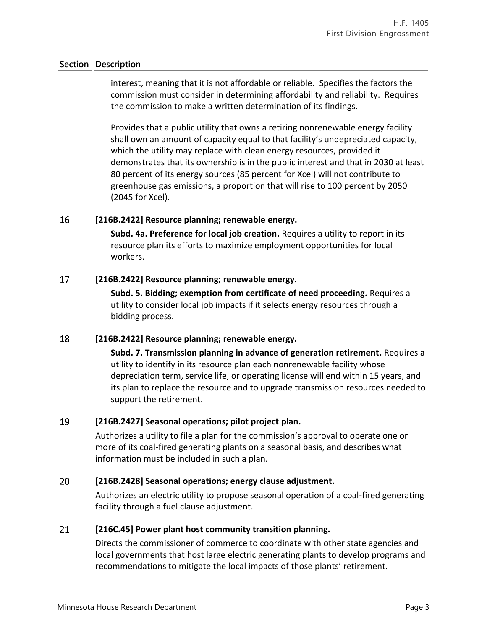## **Section Description**

interest, meaning that it is not affordable or reliable. Specifies the factors the commission must consider in determining affordability and reliability. Requires the commission to make a written determination of its findings.

Provides that a public utility that owns a retiring nonrenewable energy facility shall own an amount of capacity equal to that facility's undepreciated capacity, which the utility may replace with clean energy resources, provided it demonstrates that its ownership is in the public interest and that in 2030 at least 80 percent of its energy sources (85 percent for Xcel) will not contribute to greenhouse gas emissions, a proportion that will rise to 100 percent by 2050 (2045 for Xcel).

### 16 **[216B.2422] Resource planning; renewable energy.**

**Subd. 4a. Preference for local job creation.** Requires a utility to report in its resource plan its efforts to maximize employment opportunities for local workers.

### 17 **[216B.2422] Resource planning; renewable energy.**

**Subd. 5. Bidding; exemption from certificate of need proceeding.** Requires a utility to consider local job impacts if it selects energy resources through a bidding process.

### 18 **[216B.2422] Resource planning; renewable energy.**

**Subd. 7. Transmission planning in advance of generation retirement.** Requires a utility to identify in its resource plan each nonrenewable facility whose depreciation term, service life, or operating license will end within 15 years, and its plan to replace the resource and to upgrade transmission resources needed to support the retirement.

### 19 **[216B.2427] Seasonal operations; pilot project plan.**

Authorizes a utility to file a plan for the commission's approval to operate one or more of its coal-fired generating plants on a seasonal basis, and describes what information must be included in such a plan.

### 20 **[216B.2428] Seasonal operations; energy clause adjustment.**

Authorizes an electric utility to propose seasonal operation of a coal-fired generating facility through a fuel clause adjustment.

### 21 **[216C.45] Power plant host community transition planning.**

Directs the commissioner of commerce to coordinate with other state agencies and local governments that host large electric generating plants to develop programs and recommendations to mitigate the local impacts of those plants' retirement.